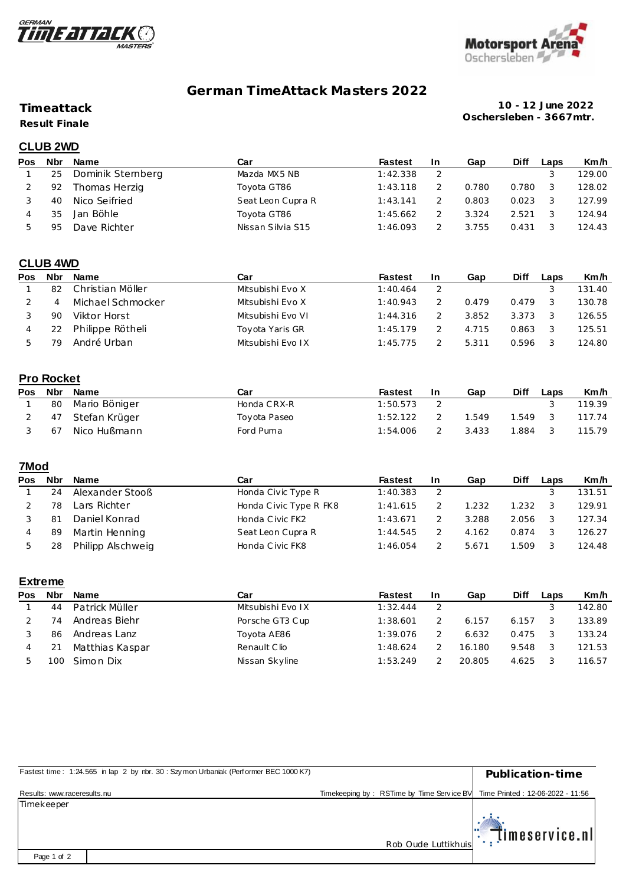



# **German TimeAttack Masters 2022**

## **Timeattack**

**Result Finale**

**10 - 12 June 2022 Oschersleben - 3667mtr.**

## **CLUB 2WD**

| Pos | <b>Nbr</b> | <b>Name</b>      | Car               | <b>Fastest</b> | <b>In</b> | Gap   | <b>Diff</b> | Laps | Km/h   |
|-----|------------|------------------|-------------------|----------------|-----------|-------|-------------|------|--------|
|     | 25         | Dominik Stemberg | Mazda MX5 NB      | 1:42.338       |           |       |             |      | 129.00 |
|     | 92         | Thomas Herzig    | Toyota GT86       | 1:43.118       |           | 0.780 | 0.780       |      | 128.02 |
|     | 40         | Nico Seifried    | Seat Leon Cupra R | 1:43.141       |           | 0.803 | 0.023       |      | 127.99 |
|     | 35         | Jan Böhle        | Toyota GT86       | 1:45.662       |           | 3.324 | 2.521       |      | 124.94 |
|     | 95         | Dave Richter     | Nissan Silvia S15 | 1:46.093       |           | 3.755 | 0.431       |      | 124.43 |

## **CLUB 4WD**

| Pos | Nbr | <b>Name</b>       | Car               | <b>Fastest</b> | <b>In</b> | Gap   | Diff  | Laps | Km/h   |
|-----|-----|-------------------|-------------------|----------------|-----------|-------|-------|------|--------|
|     | 82  | Christian Möller  | Mitsubishi Evo X  | 1:40.464       |           |       |       |      | 131.40 |
|     |     | Michael Schmocker | Mitsubishi Evo X  | 1:40.943       |           | 0.479 | 0.479 |      | 130.78 |
|     | 90  | Viktor Horst      | Mitsubishi Evo VI | 1:44.316       |           | 3.852 | 3.373 |      | 126.55 |
|     |     | Philippe Rötheli  | Toyota Yaris GR   | 1:45.179       |           | 4.715 | 0.863 |      | 125.51 |
|     |     | André Urban       | Mitsubishi Evo IX | 1:45.775       |           | 5.311 | 0.596 |      | 124.80 |

## **Pro Rocket**

| <b>Pos</b> | <b>Nbr</b> | Name             | Car          | <b>Fastest</b> | <b>In</b> | Gap   | Diff  | Laps | Km/h   |
|------------|------------|------------------|--------------|----------------|-----------|-------|-------|------|--------|
|            | 80         | Mario Böniger    | Honda CRX-R  | 1:50.573       |           |       |       |      | 119.39 |
|            |            | 47 Stefan Krüger | Toyota Paseo | 1:52.122       |           | .549  | 1.549 |      | 117.74 |
|            | 67         | Nico Hußmann     | Ford Puma    | 1:54.006       |           | 3.433 | 1.884 |      | 115.79 |

## **7Mod**

| <b>Pos</b> | <b>Nbr</b> | Name              | Car                    | <b>Fastest</b> | <b>In</b> | Gap   | Diff  | Laps | Km/h   |
|------------|------------|-------------------|------------------------|----------------|-----------|-------|-------|------|--------|
|            | 24         | Alexander Stooß   | Honda Civic Type R     | 1:40.383       |           |       |       |      | 131.51 |
|            | 78         | Lars Richter      | Honda Civic Type R FK8 | 1:41.615       |           | 1.232 | 1.232 |      | 129.91 |
|            | 81         | Daniel Konrad     | Honda Civic FK2        | 1:43.671       |           | 3.288 | 2.056 |      | 127.34 |
|            | 89         | Martin Henning    | Seat Leon Cupra R      | 1:44.545       |           | 4.162 | 0.874 |      | 126.27 |
|            | 28         | Philipp Alschweig | Honda Civic FK8        | 1:46.054       |           | 5.671 | .509  |      | 124.48 |

#### **Extreme**

| Pos | <b>Nbr</b> | <b>Name</b>     | Car               | Fastest  | <b>In</b> | Gap    | Diff  | Laps | Km/h   |
|-----|------------|-----------------|-------------------|----------|-----------|--------|-------|------|--------|
|     | 44         | Patrick Müller  | Mitsubishi Evo IX | 1:32.444 |           |        |       |      | 142.80 |
|     | 74         | Andreas Biehr   | Porsche GT3 Cup   | 1:38.601 |           | 6.157  | 6.157 |      | 133.89 |
|     | 86         | Andreas Lanz    | Toyota AE86       | 1:39.076 |           | 6.632  | 0.475 |      | 133.24 |
| 4   |            | Matthias Kaspar | Renault Clio      | 1:48.624 |           | 16.180 | 9.548 |      | 121.53 |
|     |            | Simon Dix       | Nissan Skyline    | 1:53.249 |           | 20.805 | 4.625 |      | 116.57 |

| Fastest time: 1:24.565 in lap 2 by rbr. 30: Szymon Urbaniak (Performer BEC 1000 K7) |                                           | Publication-time                 |
|-------------------------------------------------------------------------------------|-------------------------------------------|----------------------------------|
| Results: www.raceresults.nu                                                         | Timekeeping by: RSTime by Time Service BV | Time Printed: 12-06-2022 - 11:56 |
| Timekeeper                                                                          |                                           |                                  |
|                                                                                     | Rob Oude Luttikhuis                       | $\mathbb{E}$ Timeservice.nl      |
| Page 1 of 2                                                                         |                                           |                                  |